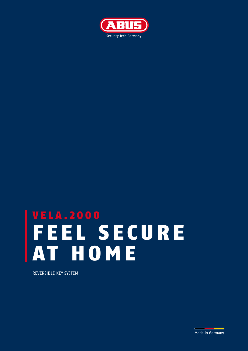

# VELA.2000 FEEL SECURE AT HOME

REVERSIBLE KEY SYSTEM

Made in Germany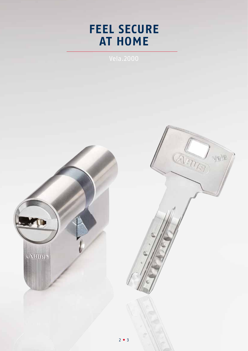## **FEEL SECURE AT HOME**

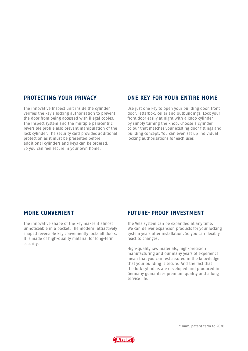#### **PROTECTING YOUR PRIVACY**

The innovative Inspect unit inside the cylinder verifies the key's locking authorisation to prevent the door from being accessed with illegal copies. The Inspect system and the multiple paracentric reversible profile also prevent manipulation of the lock cylinder. The security card provides additional protection as it must be presented before additional cylinders and keys can be ordered. So you can feel secure in your own home.

### **ONE KEY FOR YOUR ENTIRE HOME**

Use just one key to open your building door, front door, letterbox, cellar and outbuildings. Lock your front door easily at night with a knob cylinder by simply turning the knob. Choose a cylinder colour that matches your existing door fittings and building concept. You can even set up individual locking authorisations for each user.

### **MORE CONVENIENT**

The innovative shape of the key makes it almost unnoticeable in a pocket. The modern, attractively shaped reversible key conveniently locks all doors. It is made of high-quality material for long-term security.

#### **FUTURE-PROOF INVESTMENT**

The Vela system can be expanded at any time. We can deliver expansion products for your locking system years after installation. So you can flexibly react to changes.

High-quality raw materials, high-precision manufacturing and our many years of experience mean that you can rest assured in the knowledge that your building is secure. And the fact that the lock cylinders are developed and produced in Germany guarantees premium quality and a long service life.



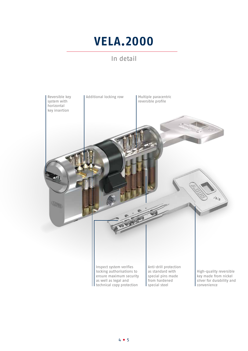## **VELA.2000**

## In detail

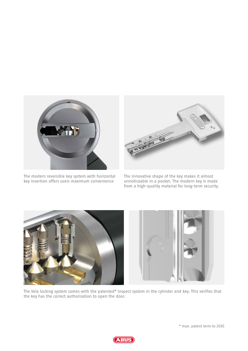

The modern reversible key system with horizontal key insertion offers users maximum convenience



The innovative shape of the key makes it almost unnoticeable in a pocket. The modern key is made from a high-quality material for long-term security.



The Vela locking system comes with the patented\* Inspect system in the cylinder and key. This verifies that the key has the correct authorisation to open the door.

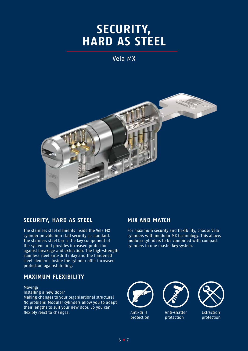## **SECURITY, HARD AS STEEL**

## Vela MX



## **SECURITY, HARD AS STEEL**

The stainless steel elements inside the Vela MX cylinder provide iron clad security as standard. The stainless steel bar is the key component of the system and provides increased protection against breakage and extraction. The high-strength stainless steel anti-drill inlay and the hardened steel elements inside the cylinder offer increased protection against drilling.

### **MAXIMUM FLEXIBILITY**

Moving?

Installing a new door? Making changes to your organisational structure? No problem! Modular cylinders allow you to adapt their lengths to suit your new door. So you can flexibly react to changes.

## **MIX AND MATCH**

For maximum security and flexibility, choose Vela cylinders with modular MX technology. This allows modular cylinders to be combined with compact cylinders in one master key system.



Anti-drill protection



Anti-shatter protection



Extraction protection

6 7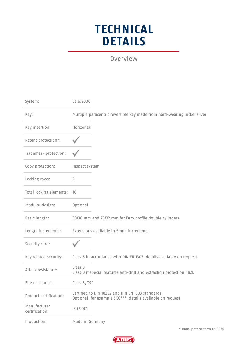## **TECHNICAL DETAILS**

Overview

| System:                        | Vela.2000                                                                                                      |
|--------------------------------|----------------------------------------------------------------------------------------------------------------|
| Key:                           | Multiple paracentric reversible key made from hard-wearing nickel silver                                       |
| Key insertion:                 | Horizontal                                                                                                     |
| Patent protection*:            |                                                                                                                |
| Trademark protection:          |                                                                                                                |
| Copy protection:               | Inspect system                                                                                                 |
| Locking rows:                  | $\overline{2}$                                                                                                 |
| Total locking elements:        | 10                                                                                                             |
| Modular design:                | <b>Optional</b>                                                                                                |
| Basic length:                  | 30/30 mm and 28/32 mm for Euro profile double cylinders                                                        |
| Length increments:             | Extensions available in 5 mm increments                                                                        |
| Security card:                 |                                                                                                                |
| Key related security:          | Class 6 in accordance with DIN EN 1303, details available on request                                           |
| Attack resistance:             | Class B<br>Class D if special features anti-drill and extraction protection "BZD"                              |
| Fire resistance:               | Class B, T90                                                                                                   |
| Product certification:         | Certified to DIN 18252 and DIN EN 1303 standards<br>Optional, for example SKG***, details available on request |
| Manufacturer<br>certification: | ISO 9001                                                                                                       |
| Production:                    | Made in Germany                                                                                                |